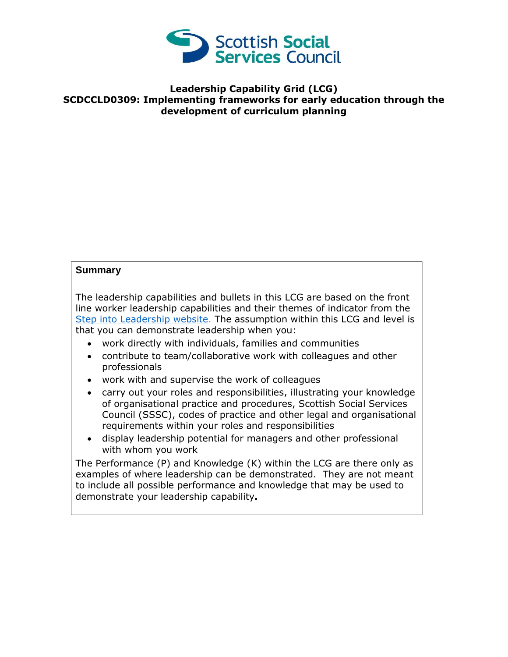

## **Leadership Capability Grid (LCG) SCDCCLD0309: Implementing frameworks for early education through the development of curriculum planning**

## **Summary**

The leadership capabilities and bullets in this LCG are based on the front line worker leadership capabilities and their themes of indicator from the [Step into Leadership website.](http://www.stepintoleadership.info/) The assumption within this LCG and level is that you can demonstrate leadership when you:

- work directly with individuals, families and communities
- contribute to team/collaborative work with colleagues and other professionals
- work with and supervise the work of colleagues
- carry out your roles and responsibilities, illustrating your knowledge of organisational practice and procedures, Scottish Social Services Council (SSSC), codes of practice and other legal and organisational requirements within your roles and responsibilities
- display leadership potential for managers and other professional with whom you work

The Performance (P) and Knowledge (K) within the LCG are there only as examples of where leadership can be demonstrated. They are not meant to include all possible performance and knowledge that may be used to demonstrate your leadership capability**.**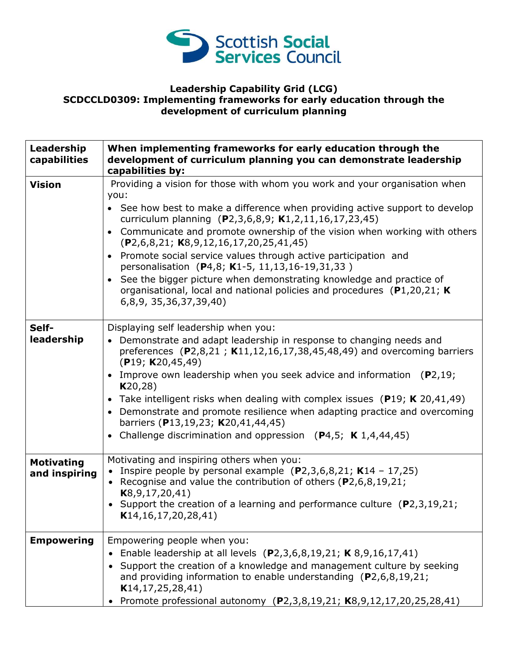

## **Leadership Capability Grid (LCG) SCDCCLD0309: Implementing frameworks for early education through the development of curriculum planning**

| Leadership<br>capabilities         | When implementing frameworks for early education through the<br>development of curriculum planning you can demonstrate leadership<br>capabilities by:                                                                                                                                                                                                                                                                                                                                                                                                                                                                                                                |
|------------------------------------|----------------------------------------------------------------------------------------------------------------------------------------------------------------------------------------------------------------------------------------------------------------------------------------------------------------------------------------------------------------------------------------------------------------------------------------------------------------------------------------------------------------------------------------------------------------------------------------------------------------------------------------------------------------------|
| <b>Vision</b>                      | Providing a vision for those with whom you work and your organisation when<br>you:<br>• See how best to make a difference when providing active support to develop<br>curriculum planning (P2,3,6,8,9; K1,2,11,16,17,23,45)<br>Communicate and promote ownership of the vision when working with others<br>$(P2, 6, 8, 21; K8, 9, 12, 16, 17, 20, 25, 41, 45)$<br>• Promote social service values through active participation and<br>personalisation (P4,8; K1-5, 11,13,16-19,31,33)<br>• See the bigger picture when demonstrating knowledge and practice of<br>organisational, local and national policies and procedures (P1,20,21; K)<br>6,8,9, 35,36,37,39,40) |
| Self-<br>leadership                | Displaying self leadership when you:<br>• Demonstrate and adapt leadership in response to changing needs and<br>preferences (P2,8,21; K11,12,16,17,38,45,48,49) and overcoming barriers<br>(P19; K20,45,49)<br>• Improve own leadership when you seek advice and information $(P2, 19)$ ;<br>K20,28)<br>• Take intelligent risks when dealing with complex issues (P19; K 20,41,49)<br>• Demonstrate and promote resilience when adapting practice and overcoming<br>barriers (P13,19,23; K20,41,44,45)<br>• Challenge discrimination and oppression $(P4,5; K1,4,44,45)$                                                                                            |
| <b>Motivating</b><br>and inspiring | Motivating and inspiring others when you:<br>Inspire people by personal example $(P2,3,6,8,21; K14 - 17,25)$<br>Recognise and value the contribution of others (P2,6,8,19,21;<br>$\bullet$<br>K8, 9, 17, 20, 41)<br>• Support the creation of a learning and performance culture $(P2,3,19,21;$<br>K14, 16, 17, 20, 28, 41                                                                                                                                                                                                                                                                                                                                           |
| <b>Empowering</b>                  | Empowering people when you:<br>• Enable leadership at all levels (P2,3,6,8,19,21; K 8,9,16,17,41)<br>• Support the creation of a knowledge and management culture by seeking<br>and providing information to enable understanding $(P2, 6, 8, 19, 21)$<br>K14, 17, 25, 28, 41)<br>Promote professional autonomy (P2,3,8,19,21; K8,9,12,17,20,25,28,41)                                                                                                                                                                                                                                                                                                               |